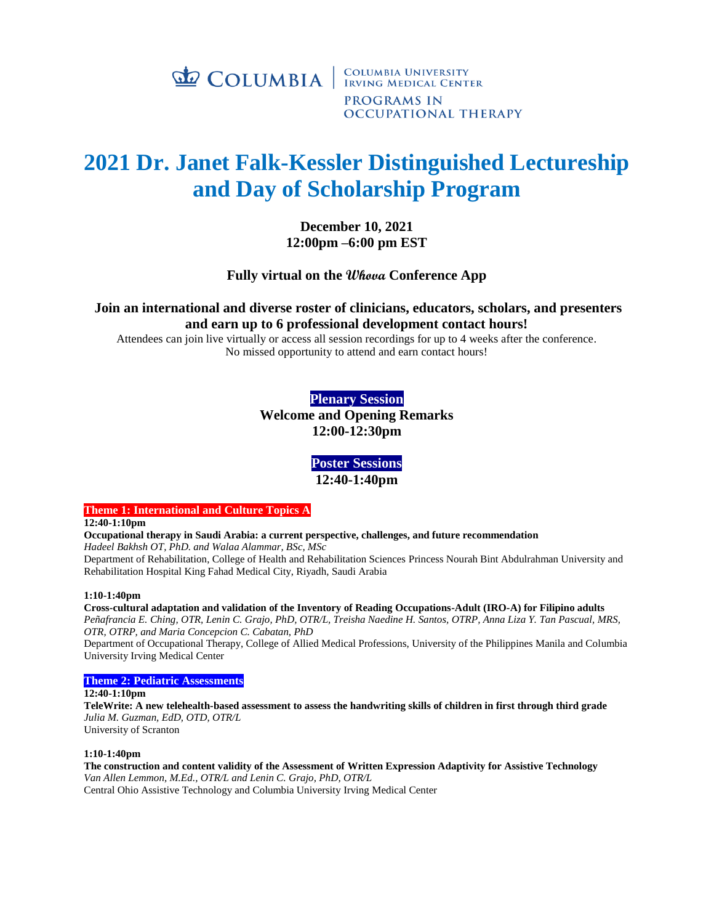## **COLUMBIA** EQUUMBIA UNIVERSITY **PROGRAMS IN OCCUPATIONAL THERAPY**

# **2021 Dr. Janet Falk-Kessler Distinguished Lectureship and Day of Scholarship Program**

**December 10, 2021 12:00pm –6:00 pm EST**

**Fully virtual on the Whova Conference App** 

## **Join an international and diverse roster of clinicians, educators, scholars, and presenters and earn up to 6 professional development contact hours!**

Attendees can join live virtually or access all session recordings for up to 4 weeks after the conference. No missed opportunity to attend and earn contact hours!

**Plenary Session**

**Welcome and Opening Remarks 12:00-12:30pm** 

> **Poster Sessions 12:40-1:40pm**

#### **Theme 1: International and Culture Topics A**

## **12:40-1:10pm**

**Occupational therapy in Saudi Arabia: a current perspective, challenges, and future recommendation**  *Hadeel Bakhsh OT, PhD. and Walaa Alammar, BSc, MSc*

Department of Rehabilitation, College of Health and Rehabilitation Sciences Princess Nourah Bint Abdulrahman University and Rehabilitation Hospital King Fahad Medical City, Riyadh, Saudi Arabia

#### **1:10-1:40pm**

**Cross-cultural adaptation and validation of the Inventory of Reading Occupations-Adult (IRO-A) for Filipino adults** *Peñafrancia E. Ching, OTR, Lenin C. Grajo, PhD, OTR/L, Treisha Naedine H. Santos, OTRP, Anna Liza Y. Tan Pascual, MRS, OTR, OTRP, and Maria Concepcion C. Cabatan, PhD*

Department of Occupational Therapy, College of Allied Medical Professions, University of the Philippines Manila and Columbia University Irving Medical Center

**Theme 2: Pediatric Assessments**

**12:40-1:10pm**

**TeleWrite: A new telehealth-based assessment to assess the handwriting skills of children in first through third grade**  *Julia M. Guzman, EdD, OTD, OTR/L* University of Scranton

**1:10-1:40pm**

**The construction and content validity of the Assessment of Written Expression Adaptivity for Assistive Technology** *Van Allen Lemmon, M.Ed., OTR/L and Lenin C. Grajo, PhD, OTR/L* Central Ohio Assistive Technology and Columbia University Irving Medical Center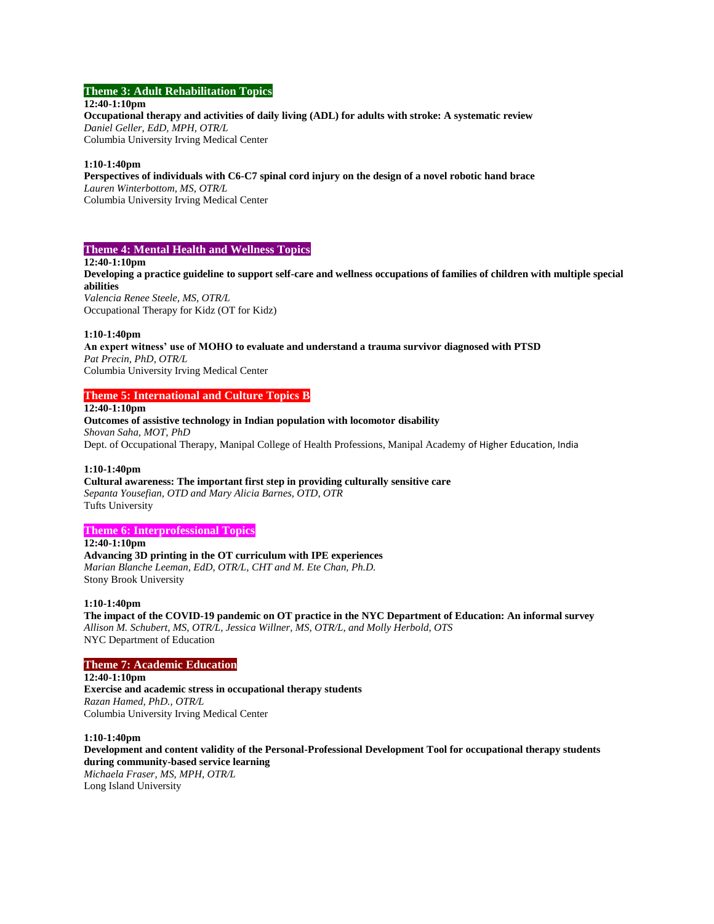#### **Theme 3: Adult Rehabilitation Topics**

#### **12:40-1:10pm**

**Occupational therapy and activities of daily living (ADL) for adults with stroke: A systematic review** *Daniel Geller, EdD, MPH, OTR/L* Columbia University Irving Medical Center

#### **1:10-1:40pm**

**Perspectives of individuals with C6-C7 spinal cord injury on the design of a novel robotic hand brace** *Lauren Winterbottom, MS, OTR/L*

Columbia University Irving Medical Center

#### **Theme 4: Mental Health and Wellness Topics**

#### **12:40-1:10pm**

**Developing a practice guideline to support self-care and wellness occupations of families of children with multiple special abilities** 

*Valencia Renee Steele, MS, OTR/L* Occupational Therapy for Kidz (OT for Kidz)

#### **1:10-1:40pm**

**An expert witness' use of MOHO to evaluate and understand a trauma survivor diagnosed with PTSD** *Pat Precin, PhD, OTR/L*

Columbia University Irving Medical Center

#### **Theme 5: International and Culture Topics B**

**12:40-1:10pm Outcomes of assistive technology in Indian population with locomotor disability** *Shovan Saha, MOT, PhD* Dept. of Occupational Therapy, Manipal College of Health Professions, Manipal Academy of Higher Education, India

#### **1:10-1:40pm**

**Cultural awareness: The important first step in providing culturally sensitive care** *Sepanta Yousefian, OTD and Mary Alicia Barnes, OTD, OTR* Tufts University

#### **Theme 6: Interprofessional Topics**

**12:40-1:10pm Advancing 3D printing in the OT curriculum with IPE experiences** *Marian Blanche Leeman, EdD, OTR/L, CHT and M. Ete Chan, Ph.D.* Stony Brook University

#### **1:10-1:40pm**

**The impact of the COVID-19 pandemic on OT practice in the NYC Department of Education: An informal survey** *Allison M. Schubert, MS, OTR/L, Jessica Willner, MS, OTR/L, and Molly Herbold, OTS* NYC Department of Education

#### **Theme 7: Academic Education**

**12:40-1:10pm Exercise and academic stress in occupational therapy students** *Razan Hamed, PhD., OTR/L* Columbia University Irving Medical Center

**1:10-1:40pm**

**Development and content validity of the Personal-Professional Development Tool for occupational therapy students during community-based service learning** *Michaela Fraser, MS, MPH, OTR/L* Long Island University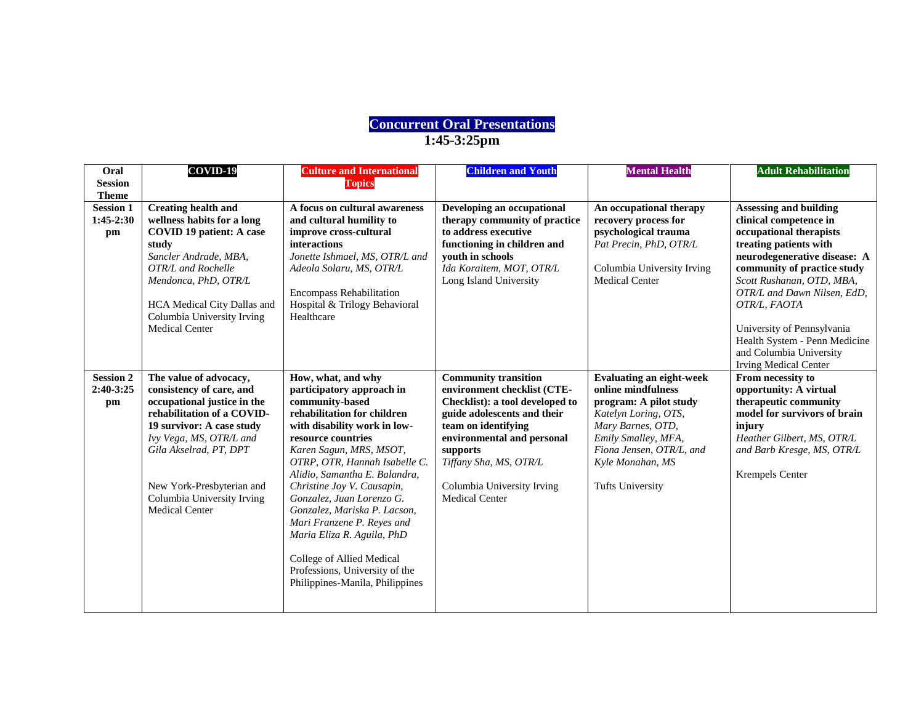## **Concurrent Oral Presentations 1:45-3:25pm**

| Oral<br><b>Session</b><br><b>Theme</b> | COVID-19                                                                                                                                                                                                                                                                              | <b>Culture and International</b><br><b>Topics</b>                                                                                                                                                                                                                                                                                                                                                                                                                                                             | <b>Children and Youth</b>                                                                                                                                                                                                                                                      | <b>Mental Health</b>                                                                                                                                                                                                           | <b>Adult Rehabilitation</b>                                                                                                                                                                                                                                                                                                                                                       |
|----------------------------------------|---------------------------------------------------------------------------------------------------------------------------------------------------------------------------------------------------------------------------------------------------------------------------------------|---------------------------------------------------------------------------------------------------------------------------------------------------------------------------------------------------------------------------------------------------------------------------------------------------------------------------------------------------------------------------------------------------------------------------------------------------------------------------------------------------------------|--------------------------------------------------------------------------------------------------------------------------------------------------------------------------------------------------------------------------------------------------------------------------------|--------------------------------------------------------------------------------------------------------------------------------------------------------------------------------------------------------------------------------|-----------------------------------------------------------------------------------------------------------------------------------------------------------------------------------------------------------------------------------------------------------------------------------------------------------------------------------------------------------------------------------|
| <b>Session 1</b><br>1:45-2:30<br>pm    | <b>Creating health and</b><br>wellness habits for a long<br><b>COVID 19 patient: A case</b><br>study<br>Sancler Andrade, MBA,<br>OTR/L and Rochelle<br>Mendonca, PhD, OTR/L<br>HCA Medical City Dallas and<br>Columbia University Irving<br><b>Medical Center</b>                     | A focus on cultural awareness<br>and cultural humility to<br>improve cross-cultural<br>interactions<br>Jonette Ishmael, MS, OTR/L and<br>Adeola Solaru, MS, OTR/L<br><b>Encompass Rehabilitation</b><br>Hospital & Trilogy Behavioral<br>Healthcare                                                                                                                                                                                                                                                           | Developing an occupational<br>therapy community of practice<br>to address executive<br>functioning in children and<br>vouth in schools<br>Ida Koraitem, MOT, OTR/L<br>Long Island University                                                                                   | An occupational therapy<br>recovery process for<br>psychological trauma<br>Pat Precin, PhD, OTR/L<br>Columbia University Irving<br><b>Medical Center</b>                                                                       | <b>Assessing and building</b><br>clinical competence in<br>occupational therapists<br>treating patients with<br>neurodegenerative disease: A<br>community of practice study<br>Scott Rushanan, OTD, MBA,<br>OTR/L and Dawn Nilsen, EdD,<br>OTR/L, FAOTA<br>University of Pennsylvania<br>Health System - Penn Medicine<br>and Columbia University<br><b>Irving Medical Center</b> |
| <b>Session 2</b><br>$2:40-3:25$<br>pm  | The value of advocacy,<br>consistency of care, and<br>occupational justice in the<br>rehabilitation of a COVID-<br>19 survivor: A case study<br>Ivy Vega, MS, OTR/L and<br>Gila Akselrad, PT, DPT<br>New York-Presbyterian and<br>Columbia University Irving<br><b>Medical Center</b> | How, what, and why<br>participatory approach in<br>community-based<br>rehabilitation for children<br>with disability work in low-<br>resource countries<br>Karen Sagun, MRS, MSOT,<br>OTRP, OTR, Hannah Isabelle C.<br>Alidio, Samantha E. Balandra,<br>Christine Joy V. Causapin,<br>Gonzalez, Juan Lorenzo G.<br>Gonzalez, Mariska P. Lacson,<br>Mari Franzene P. Reyes and<br>Maria Eliza R. Aguila, PhD<br>College of Allied Medical<br>Professions, University of the<br>Philippines-Manila, Philippines | <b>Community transition</b><br>environment checklist (CTE-<br>Checklist): a tool developed to<br>guide adolescents and their<br>team on identifying<br>environmental and personal<br>supports<br>Tiffany Sha, MS, OTR/L<br>Columbia University Irving<br><b>Medical Center</b> | <b>Evaluating an eight-week</b><br>online mindfulness<br>program: A pilot study<br>Katelyn Loring, OTS,<br>Mary Barnes, OTD,<br>Emily Smalley, MFA,<br>Fiona Jensen, OTR/L, and<br>Kyle Monahan, MS<br><b>Tufts University</b> | From necessity to<br>opportunity: A virtual<br>therapeutic community<br>model for survivors of brain<br>injury<br>Heather Gilbert, MS, OTR/L<br>and Barb Kresge, MS, OTR/L<br><b>Krempels Center</b>                                                                                                                                                                              |